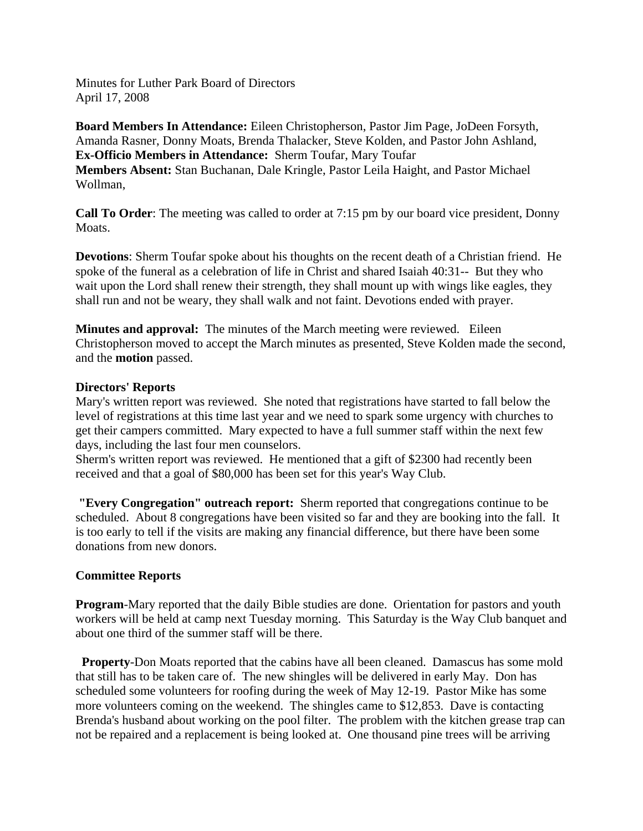Minutes for Luther Park Board of Directors April 17, 2008

**Board Members In Attendance:** Eileen Christopherson, Pastor Jim Page, JoDeen Forsyth, Amanda Rasner, Donny Moats, Brenda Thalacker, Steve Kolden, and Pastor John Ashland, **Ex-Officio Members in Attendance:** Sherm Toufar, Mary Toufar **Members Absent:** Stan Buchanan, Dale Kringle, Pastor Leila Haight, and Pastor Michael Wollman,

**Call To Order**: The meeting was called to order at 7:15 pm by our board vice president, Donny Moats.

**Devotions**: Sherm Toufar spoke about his thoughts on the recent death of a Christian friend. He spoke of the funeral as a celebration of life in Christ and shared Isaiah 40:31-- But they who wait upon the Lord shall renew their strength, they shall mount up with wings like eagles, they shall run and not be weary, they shall walk and not faint. Devotions ended with prayer.

**Minutes and approval:** The minutes of the March meeting were reviewed. Eileen Christopherson moved to accept the March minutes as presented, Steve Kolden made the second, and the **motion** passed.

### **Directors' Reports**

Mary's written report was reviewed. She noted that registrations have started to fall below the level of registrations at this time last year and we need to spark some urgency with churches to get their campers committed. Mary expected to have a full summer staff within the next few days, including the last four men counselors.

Sherm's written report was reviewed. He mentioned that a gift of \$2300 had recently been received and that a goal of \$80,000 has been set for this year's Way Club.

**"Every Congregation" outreach report:** Sherm reported that congregations continue to be scheduled. About 8 congregations have been visited so far and they are booking into the fall. It is too early to tell if the visits are making any financial difference, but there have been some donations from new donors.

## **Committee Reports**

**Program**-Mary reported that the daily Bible studies are done. Orientation for pastors and youth workers will be held at camp next Tuesday morning. This Saturday is the Way Club banquet and about one third of the summer staff will be there.

 **Property**-Don Moats reported that the cabins have all been cleaned. Damascus has some mold that still has to be taken care of. The new shingles will be delivered in early May. Don has scheduled some volunteers for roofing during the week of May 12-19. Pastor Mike has some more volunteers coming on the weekend. The shingles came to \$12,853. Dave is contacting Brenda's husband about working on the pool filter. The problem with the kitchen grease trap can not be repaired and a replacement is being looked at. One thousand pine trees will be arriving